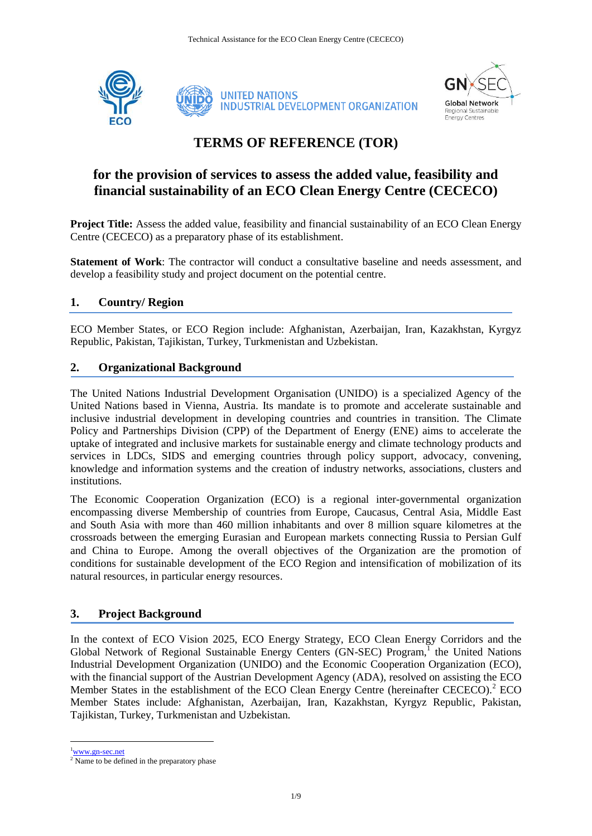



# **TERMS OF REFERENCE (TOR)**

## **for the provision of services to assess the added value, feasibility and financial sustainability of an ECO Clean Energy Centre (CECECO)**

**Project Title:** Assess the added value, feasibility and financial sustainability of an ECO Clean Energy Centre (CECECO) as a preparatory phase of its establishment.

**Statement of Work**: The contractor will conduct a consultative baseline and needs assessment, and develop a feasibility study and project document on the potential centre.

## **1. Country/ Region**

ECO Member States, or ECO Region include: Afghanistan, Azerbaijan, Iran, Kazakhstan, Kyrgyz Republic, Pakistan, Tajikistan, Turkey, Turkmenistan and Uzbekistan.

## **2. Organizational Background**

The United Nations Industrial Development Organisation (UNIDO) is a specialized Agency of the United Nations based in Vienna, Austria. Its mandate is to promote and accelerate sustainable and inclusive industrial development in developing countries and countries in transition. The Climate Policy and Partnerships Division (CPP) of the Department of Energy (ENE) aims to accelerate the uptake of integrated and inclusive markets for sustainable energy and climate technology products and services in LDCs, SIDS and emerging countries through policy support, advocacy, convening, knowledge and information systems and the creation of industry networks, associations, clusters and institutions.

The Economic Cooperation Organization (ECO) is a regional inter-governmental organization encompassing diverse Membership of countries from Europe, Caucasus, Central Asia, Middle East and South Asia with more than 460 million inhabitants and over 8 million square kilometres at the crossroads between the emerging Eurasian and European markets connecting Russia to Persian Gulf and China to Europe. Among the overall objectives of the Organization are the promotion of conditions for sustainable development of the ECO Region and intensification of mobilization of its natural resources, in particular energy resources.

## **3. Project Background**

In the context of ECO Vision 2025, ECO Energy Strategy, ECO Clean Energy Corridors and the Global Network of Regional Sustainable Energy Centers (GN-SEC) Program,<sup>1</sup> the United Nations Industrial Development Organization (UNIDO) and the Economic Cooperation Organization (ECO), with the financial support of the Austrian Development Agency (ADA), resolved on assisting the ECO Member States in the establishment of the ECO Clean Energy Centre (hereinafter CECECO).<sup>2</sup> ECO Member States include: Afghanistan, Azerbaijan, Iran, Kazakhstan, Kyrgyz Republic, Pakistan, Tajikistan, Turkey, Turkmenistan and Uzbekistan.

<sup>1</sup>[www.gn-sec.net](http://www.gn-sec.net/)

1

<sup>&</sup>lt;sup>2</sup> Name to be defined in the preparatory phase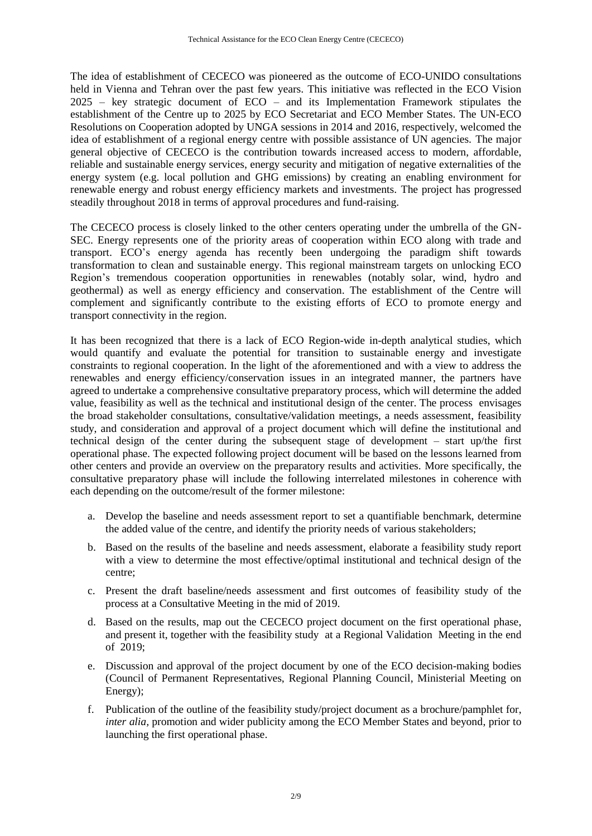The idea of establishment of CECECO was pioneered as the outcome of ECO-UNIDO consultations held in Vienna and Tehran over the past few years. This initiative was reflected in the ECO Vision 2025 – key strategic document of ECO – and its Implementation Framework stipulates the establishment of the Centre up to 2025 by ECO Secretariat and ECO Member States. The UN-ECO Resolutions on Cooperation adopted by UNGA sessions in 2014 and 2016, respectively, welcomed the idea of establishment of a regional energy centre with possible assistance of UN agencies. The major general objective of CECECO is the contribution towards increased access to modern, affordable, reliable and sustainable energy services, energy security and mitigation of negative externalities of the energy system (e.g. local pollution and GHG emissions) by creating an enabling environment for renewable energy and robust energy efficiency markets and investments. The project has progressed steadily throughout 2018 in terms of approval procedures and fund-raising.

The CECECO process is closely linked to the other centers operating under the umbrella of the GN-SEC. Energy represents one of the priority areas of cooperation within ECO along with trade and transport. ECO's energy agenda has recently been undergoing the paradigm shift towards transformation to clean and sustainable energy. This regional mainstream targets on unlocking ECO Region's tremendous cooperation opportunities in renewables (notably solar, wind, hydro and geothermal) as well as energy efficiency and conservation. The establishment of the Centre will complement and significantly contribute to the existing efforts of ECO to promote energy and transport connectivity in the region.

It has been recognized that there is a lack of ECO Region-wide in-depth analytical studies, which would quantify and evaluate the potential for transition to sustainable energy and investigate constraints to regional cooperation. In the light of the aforementioned and with a view to address the renewables and energy efficiency/conservation issues in an integrated manner, the partners have agreed to undertake a comprehensive consultative preparatory process, which will determine the added value, feasibility as well as the technical and institutional design of the center. The process envisages the broad stakeholder consultations, consultative/validation meetings, a needs assessment, feasibility study, and consideration and approval of a project document which will define the institutional and technical design of the center during the subsequent stage of development – start up/the first operational phase. The expected following project document will be based on the lessons learned from other centers and provide an overview on the preparatory results and activities. More specifically, the consultative preparatory phase will include the following interrelated milestones in coherence with each depending on the outcome/result of the former milestone:

- a. Develop the baseline and needs assessment report to set a quantifiable benchmark, determine the added value of the centre, and identify the priority needs of various stakeholders;
- b. Based on the results of the baseline and needs assessment, elaborate a feasibility study report with a view to determine the most effective/optimal institutional and technical design of the centre;
- c. Present the draft baseline/needs assessment and first outcomes of feasibility study of the process at a Consultative Meeting in the mid of 2019.
- d. Based on the results, map out the CECECO project document on the first operational phase, and present it, together with the feasibility study at a Regional Validation Meeting in the end of 2019;
- e. Discussion and approval of the project document by one of the ECO decision-making bodies (Council of Permanent Representatives, Regional Planning Council, Ministerial Meeting on Energy);
- f. Publication of the outline of the feasibility study/project document as a brochure/pamphlet for, *inter alia,* promotion and wider publicity among the ECO Member States and beyond, prior to launching the first operational phase.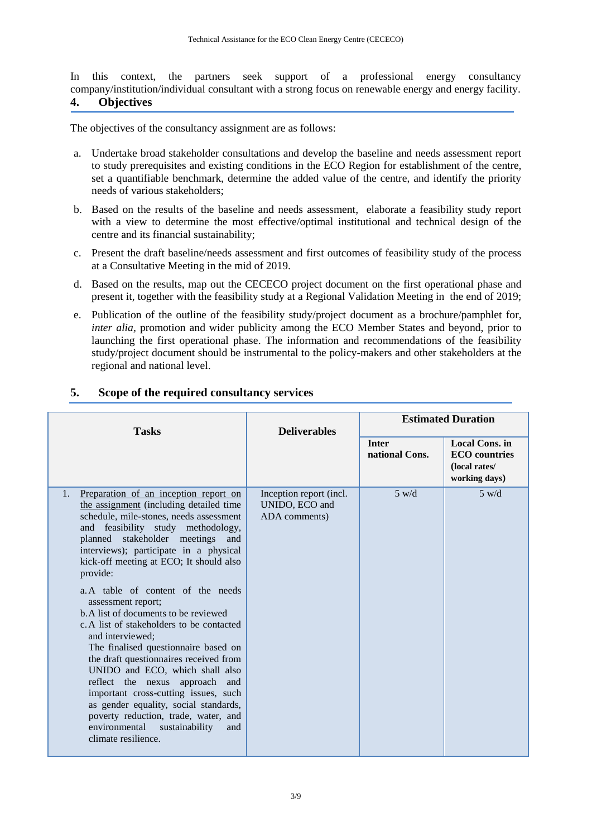In this context, the partners seek support of a professional energy consultancy company/institution/individual consultant with a strong focus on renewable energy and energy facility. **4. Objectives**

The objectives of the consultancy assignment are as follows:

- a. Undertake broad stakeholder consultations and develop the baseline and needs assessment report to study prerequisites and existing conditions in the ECO Region for establishment of the centre, set a quantifiable benchmark, determine the added value of the centre, and identify the priority needs of various stakeholders;
- b. Based on the results of the baseline and needs assessment, elaborate a feasibility study report with a view to determine the most effective/optimal institutional and technical design of the centre and its financial sustainability;
- c. Present the draft baseline/needs assessment and first outcomes of feasibility study of the process at a Consultative Meeting in the mid of 2019.
- d. Based on the results, map out the CECECO project document on the first operational phase and present it, together with the feasibility study at a Regional Validation Meeting in the end of 2019;
- e. Publication of the outline of the feasibility study/project document as a brochure/pamphlet for, *inter alia,* promotion and wider publicity among the ECO Member States and beyond, prior to launching the first operational phase. The information and recommendations of the feasibility study/project document should be instrumental to the policy-makers and other stakeholders at the regional and national level.

| <b>Tasks</b>                                                                                                                                                                                                                                                                                                                                                                                                                                                                                                                                                                                                                                                                                                                                                                                                                              | <b>Deliverables</b>                                        | <b>Estimated Duration</b>      |                                                                          |
|-------------------------------------------------------------------------------------------------------------------------------------------------------------------------------------------------------------------------------------------------------------------------------------------------------------------------------------------------------------------------------------------------------------------------------------------------------------------------------------------------------------------------------------------------------------------------------------------------------------------------------------------------------------------------------------------------------------------------------------------------------------------------------------------------------------------------------------------|------------------------------------------------------------|--------------------------------|--------------------------------------------------------------------------|
|                                                                                                                                                                                                                                                                                                                                                                                                                                                                                                                                                                                                                                                                                                                                                                                                                                           |                                                            | <b>Inter</b><br>national Cons. | Local Cons. in<br><b>ECO</b> countries<br>(local rates/<br>working days) |
| Preparation of an inception report on<br>1.<br>the assignment (including detailed time<br>schedule, mile-stones, needs assessment<br>and feasibility study methodology,<br>stakeholder meetings<br>planned<br>and<br>interviews); participate in a physical<br>kick-off meeting at ECO; It should also<br>provide:<br>a. A table of content of the needs<br>assessment report;<br>b. A list of documents to be reviewed<br>c. A list of stakeholders to be contacted<br>and interviewed:<br>The finalised questionnaire based on<br>the draft questionnaires received from<br>UNIDO and ECO, which shall also<br>reflect the nexus approach and<br>important cross-cutting issues, such<br>as gender equality, social standards,<br>poverty reduction, trade, water, and<br>environmental<br>sustainability<br>and<br>climate resilience. | Inception report (incl.<br>UNIDO, ECO and<br>ADA comments) | $5 \text{ w/d}$                | 5 w/d                                                                    |

## **5. Scope of the required consultancy services**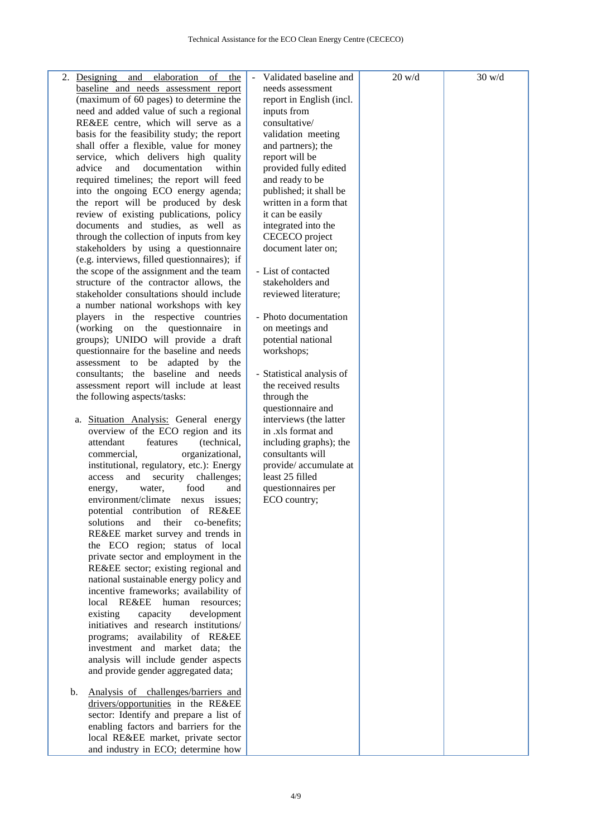| 2. Designing and elaboration of<br>the           | Validated baseline and    | $20$ w/d | 30 w/d |
|--------------------------------------------------|---------------------------|----------|--------|
| baseline and needs assessment report             | needs assessment          |          |        |
| (maximum of 60 pages) to determine the           | report in English (incl.  |          |        |
| need and added value of such a regional          | inputs from               |          |        |
| RE&EE centre, which will serve as a              | consultative/             |          |        |
| basis for the feasibility study; the report      | validation meeting        |          |        |
| shall offer a flexible, value for money          | and partners); the        |          |        |
| service, which delivers high quality             | report will be            |          |        |
| within<br>and<br>documentation<br>advice         | provided fully edited     |          |        |
| required timelines; the report will feed         | and ready to be           |          |        |
| into the ongoing ECO energy agenda;              | published; it shall be    |          |        |
| the report will be produced by desk              | written in a form that    |          |        |
| review of existing publications, policy          | it can be easily          |          |        |
| documents and studies, as well as                | integrated into the       |          |        |
| through the collection of inputs from key        | CECECO project            |          |        |
| stakeholders by using a questionnaire            | document later on;        |          |        |
| (e.g. interviews, filled questionnaires); if     |                           |          |        |
| the scope of the assignment and the team         | - List of contacted       |          |        |
| structure of the contractor allows, the          | stakeholders and          |          |        |
| stakeholder consultations should include         | reviewed literature;      |          |        |
| a number national workshops with key             |                           |          |        |
| players in the respective countries              | - Photo documentation     |          |        |
| (working on the questionnaire in                 | on meetings and           |          |        |
| groups); UNIDO will provide a draft              | potential national        |          |        |
| questionnaire for the baseline and needs         | workshops;                |          |        |
| assessment to be adapted by the                  |                           |          |        |
| consultants; the baseline and needs              | - Statistical analysis of |          |        |
| assessment report will include at least          | the received results      |          |        |
| the following aspects/tasks:                     | through the               |          |        |
|                                                  | questionnaire and         |          |        |
| a. Situation Analysis: General energy            | interviews (the latter    |          |        |
| overview of the ECO region and its               | in .xls format and        |          |        |
| attendant<br>(technical,<br>features             | including graphs); the    |          |        |
| organizational,<br>commercial,                   | consultants will          |          |        |
| institutional, regulatory, etc.): Energy         | provide/accumulate at     |          |        |
| and<br>security<br>challenges;<br>access         | least 25 filled           |          |        |
| food<br>water,<br>and<br>energy,                 | questionnaires per        |          |        |
| environment/climate nexus issues;                | ECO country;              |          |        |
| potential contribution of RE&EE                  |                           |          |        |
| solutions<br>and<br>their<br>co-benefits;        |                           |          |        |
| RE&EE market survey and trends in                |                           |          |        |
| the ECO region; status of local                  |                           |          |        |
| private sector and employment in the             |                           |          |        |
| RE&EE sector; existing regional and              |                           |          |        |
| national sustainable energy policy and           |                           |          |        |
| incentive frameworks; availability of            |                           |          |        |
| <b>RE&amp;EE</b><br>human<br>local<br>resources; |                           |          |        |
| existing<br>capacity<br>development              |                           |          |        |
| initiatives and research institutions/           |                           |          |        |
| programs; availability of RE&EE                  |                           |          |        |
| investment and market data; the                  |                           |          |        |
| analysis will include gender aspects             |                           |          |        |
|                                                  |                           |          |        |
| and provide gender aggregated data;              |                           |          |        |
| Analysis of challenges/barriers and<br>b.        |                           |          |        |
| drivers/opportunities in the RE&EE               |                           |          |        |
| sector: Identify and prepare a list of           |                           |          |        |
| enabling factors and barriers for the            |                           |          |        |
| local RE&EE market, private sector               |                           |          |        |
| and industry in ECO; determine how               |                           |          |        |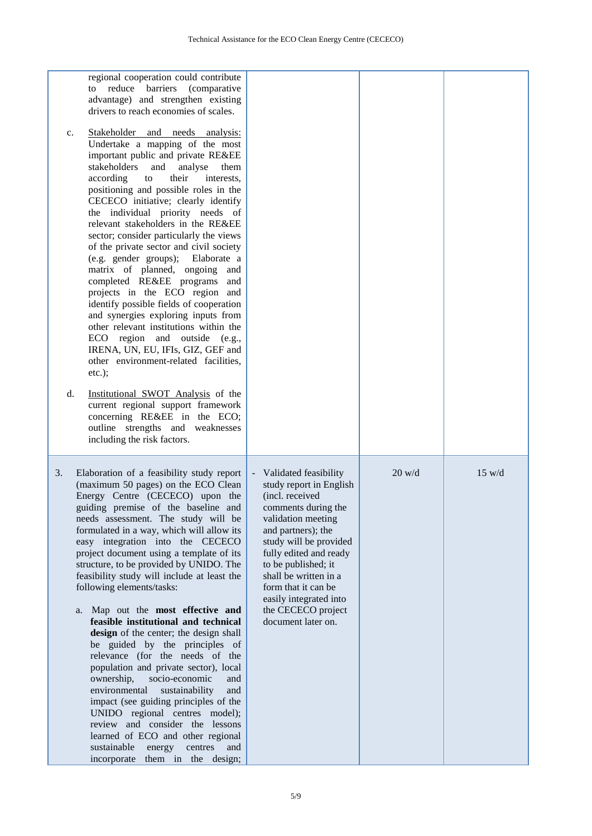| regional cooperation could contribute<br>reduce barriers<br>(comparative)<br>to<br>advantage) and strengthen existing<br>drivers to reach economies of scales.<br>Stakeholder and needs analysis:<br>c.<br>Undertake a mapping of the most<br>important public and private RE&EE<br>stakeholders<br>and<br>analyse<br>them<br>according<br>their<br>to<br>interests,<br>positioning and possible roles in the<br>CECECO initiative; clearly identify<br>the individual priority needs of<br>relevant stakeholders in the RE&EE<br>sector; consider particularly the views<br>of the private sector and civil society<br>(e.g. gender groups);<br>Elaborate a<br>matrix of planned, ongoing<br>and<br>completed RE&EE programs<br>and<br>projects in the ECO region and<br>identify possible fields of cooperation<br>and synergies exploring inputs from<br>other relevant institutions within the<br>ECO region and outside<br>(e.g.,<br>IRENA, UN, EU, IFIs, GIZ, GEF and<br>other environment-related facilities,<br>$etc.$ );<br>d.<br>Institutional SWOT Analysis of the<br>current regional support framework<br>concerning RE&EE in the ECO;<br>outline strengths and weaknesses<br>including the risk factors. |                                                                                                                                                                                                                                                                                                                                                           |                  |                  |
|------------------------------------------------------------------------------------------------------------------------------------------------------------------------------------------------------------------------------------------------------------------------------------------------------------------------------------------------------------------------------------------------------------------------------------------------------------------------------------------------------------------------------------------------------------------------------------------------------------------------------------------------------------------------------------------------------------------------------------------------------------------------------------------------------------------------------------------------------------------------------------------------------------------------------------------------------------------------------------------------------------------------------------------------------------------------------------------------------------------------------------------------------------------------------------------------------------------------|-----------------------------------------------------------------------------------------------------------------------------------------------------------------------------------------------------------------------------------------------------------------------------------------------------------------------------------------------------------|------------------|------------------|
| Elaboration of a feasibility study report<br>3.<br>(maximum 50 pages) on the ECO Clean<br>Energy Centre (CECECO) upon the<br>guiding premise of the baseline and<br>needs assessment. The study will be<br>formulated in a way, which will allow its<br>easy integration into the CECECO<br>project document using a template of its<br>structure, to be provided by UNIDO. The<br>feasibility study will include at least the<br>following elements/tasks:<br>a. Map out the most effective and<br>feasible institutional and technical<br>design of the center; the design shall<br>be guided by the principles of<br>relevance (for the needs of the<br>population and private sector), local<br>socio-economic<br>ownership,<br>and<br>environmental<br>sustainability<br>and<br>impact (see guiding principles of the<br>UNIDO regional centres model);<br>review and consider the lessons<br>learned of ECO and other regional<br>sustainable<br>energy<br>centres<br>and<br>them in the design;<br>incorporate                                                                                                                                                                                                  | Validated feasibility<br>$\blacksquare$<br>study report in English<br>(incl. received<br>comments during the<br>validation meeting<br>and partners); the<br>study will be provided<br>fully edited and ready<br>to be published; it<br>shall be written in a<br>form that it can be<br>easily integrated into<br>the CECECO project<br>document later on. | $20 \text{ w/d}$ | $15 \text{ w/d}$ |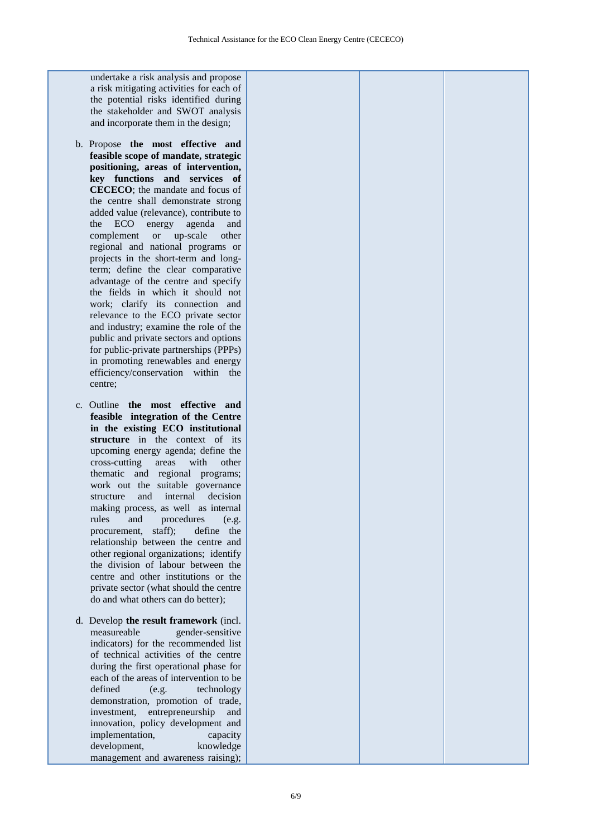undertake a risk analysis and propose a risk mitigating activities for each of the potential risks identified during the stakeholder and SWOT analysis and incorporate them in the design;

- b. Propose **the most effective and feasible scope of mandate, strategic positioning, areas of intervention, key functions and services of CECECO**; the mandate and focus of the centre shall demonstrate strong added value (relevance), contribute to the ECO energy agenda and complement or up-scale other regional and national programs or projects in the short-term and longterm; define the clear comparative advantage of the centre and specify the fields in which it should not work; clarify its connection and relevance to the ECO private sector and industry; examine the role of the public and private sectors and options for public-private partnerships (PPPs) in promoting renewables and energy efficiency/conservation within the centre;
- c. Outline **the most effective and feasible integration of the Centre in the existing ECO institutional structure** in the context of its upcoming energy agenda; define the cross-cutting areas with other thematic and regional programs; work out the suitable governance structure and internal decision making process, as well as internal rules and procedures (e.g. procurement, staff); define the relationship between the centre and other regional organizations; identify the division of labour between the centre and other institutions or the private sector (what should the centre do and what others can do better);
- d. Develop **the result framework** (incl. measureable gender-sensitive indicators) for the recommended list of technical activities of the centre during the first operational phase for each of the areas of intervention to be defined (e.g. technology demonstration, promotion of trade, investment, entrepreneurship and innovation, policy development and implementation, capacity development, knowledge management and awareness raising);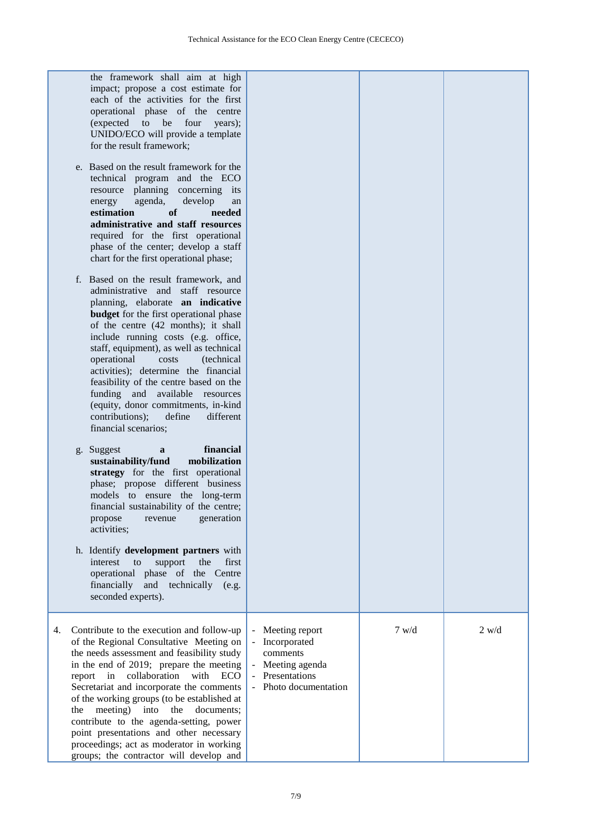|    | the framework shall aim at high<br>impact; propose a cost estimate for<br>each of the activities for the first<br>operational phase of the centre<br>four<br>(expected<br>to<br>be<br>years);<br>UNIDO/ECO will provide a template<br>for the result framework;<br>e. Based on the result framework for the<br>technical program and the ECO<br>resource planning concerning its<br>agenda,<br>develop<br>energy<br>an<br><b>of</b><br>estimation<br>needed<br>administrative and staff resources<br>required for the first operational<br>phase of the center; develop a staff<br>chart for the first operational phase;<br>f. Based on the result framework, and<br>administrative and staff resource<br>planning, elaborate an indicative<br><b>budget</b> for the first operational phase<br>of the centre (42 months); it shall<br>include running costs (e.g. office,<br>staff, equipment), as well as technical<br>operational<br>costs<br><i>(technical)</i><br>activities); determine the financial<br>feasibility of the centre based on the<br>funding and available resources<br>(equity, donor commitments, in-kind<br>contributions);<br>define<br>different<br>financial scenarios;<br>financial<br>Suggest<br>a<br>g.<br>mobilization<br>sustainability/fund<br>strategy for the first operational<br>phase; propose different business<br>models to ensure the long-term<br>financial sustainability of the centre; |                                                                                                      |       |       |
|----|--------------------------------------------------------------------------------------------------------------------------------------------------------------------------------------------------------------------------------------------------------------------------------------------------------------------------------------------------------------------------------------------------------------------------------------------------------------------------------------------------------------------------------------------------------------------------------------------------------------------------------------------------------------------------------------------------------------------------------------------------------------------------------------------------------------------------------------------------------------------------------------------------------------------------------------------------------------------------------------------------------------------------------------------------------------------------------------------------------------------------------------------------------------------------------------------------------------------------------------------------------------------------------------------------------------------------------------------------------------------------------------------------------------------------------------|------------------------------------------------------------------------------------------------------|-------|-------|
|    | generation<br>propose<br>revenue<br>activities;<br>h. Identify development partners with<br>support<br>the<br>first<br>interest<br>to<br>operational phase of the Centre<br>financially<br>and technically<br>(e.g.<br>seconded experts).                                                                                                                                                                                                                                                                                                                                                                                                                                                                                                                                                                                                                                                                                                                                                                                                                                                                                                                                                                                                                                                                                                                                                                                            |                                                                                                      |       |       |
| 4. | Contribute to the execution and follow-up<br>of the Regional Consultative Meeting on<br>the needs assessment and feasibility study<br>in the end of 2019; prepare the meeting<br>report in collaboration with ECO<br>Secretariat and incorporate the comments<br>of the working groups (to be established at<br>meeting) into<br>the<br>documents;<br>the<br>contribute to the agenda-setting, power<br>point presentations and other necessary<br>proceedings; act as moderator in working<br>groups; the contractor will develop and                                                                                                                                                                                                                                                                                                                                                                                                                                                                                                                                                                                                                                                                                                                                                                                                                                                                                               | Meeting report<br>Incorporated<br>comments<br>Meeting agenda<br>Presentations<br>Photo documentation | 7 w/d | 2 w/d |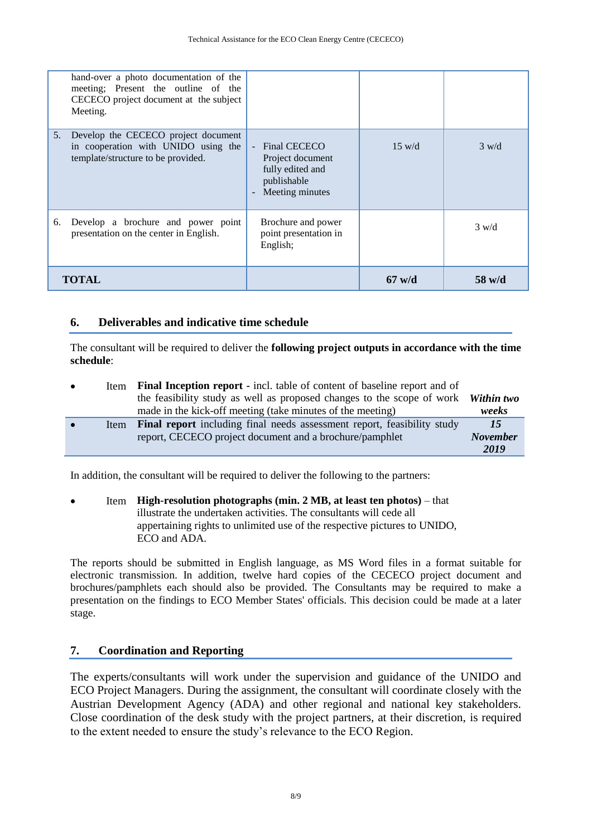| Meeting.     | hand-over a photo documentation of the<br>meeting; Present the outline of the<br>CECECO project document at the subject |                                                                                            |                  |                  |
|--------------|-------------------------------------------------------------------------------------------------------------------------|--------------------------------------------------------------------------------------------|------------------|------------------|
| 5.           | Develop the CECECO project document<br>in cooperation with UNIDO using the<br>template/structure to be provided.        | - Final CECECO<br>Project document<br>fully edited and<br>publishable<br>- Meeting minutes | $15 \text{ w/d}$ | $3 \text{ w/d}$  |
| 6.           | Develop a brochure and power point<br>presentation on the center in English.                                            | Brochure and power<br>point presentation in<br>English;                                    |                  | $3 \text{ w/d}$  |
| <b>TOTAL</b> |                                                                                                                         |                                                                                            | $67$ w/d         | $58 \text{ w/d}$ |

#### **6. Deliverables and indicative time schedule**

The consultant will be required to deliver the **following project outputs in accordance with the time schedule**:

| $\bullet$ | Item | <b>Final Inception report</b> - incl. table of content of baseline report and of  |                 |
|-----------|------|-----------------------------------------------------------------------------------|-----------------|
|           |      | the feasibility study as well as proposed changes to the scope of work Within two |                 |
|           |      | made in the kick-off meeting (take minutes of the meeting)                        | weeks           |
|           | Item | Final report including final needs assessment report, feasibility study           | 15              |
|           |      | report, CECECO project document and a brochure/pamphlet                           | <b>November</b> |
|           |      |                                                                                   | 2019            |

In addition, the consultant will be required to deliver the following to the partners:

#### Item **High-resolution photographs (min. 2 MB, at least ten photos)** – that illustrate the undertaken activities. The consultants will cede all appertaining rights to unlimited use of the respective pictures to UNIDO, ECO and ADA.

The reports should be submitted in English language, as MS Word files in a format suitable for electronic transmission. In addition, twelve hard copies of the CECECO project document and brochures/pamphlets each should also be provided. The Consultants may be required to make a presentation on the findings to ECO Member States' officials. This decision could be made at a later stage.

#### **7. Coordination and Reporting**

The experts/consultants will work under the supervision and guidance of the UNIDO and ECO Project Managers. During the assignment, the consultant will coordinate closely with the Austrian Development Agency (ADA) and other regional and national key stakeholders. Close coordination of the desk study with the project partners, at their discretion, is required to the extent needed to ensure the study's relevance to the ECO Region.